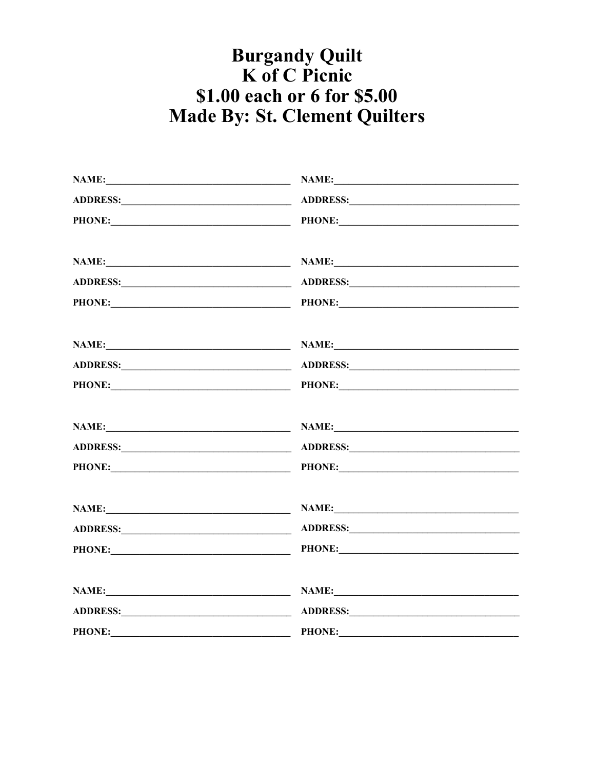## **Burgandy Quilt<br>K of C Picnic** \$1.00 each or 6 for \$5.00 **Made By: St. Clement Quilters**

|                                                                            | NAME:                                                                                                                                                                                                                          |  |
|----------------------------------------------------------------------------|--------------------------------------------------------------------------------------------------------------------------------------------------------------------------------------------------------------------------------|--|
|                                                                            |                                                                                                                                                                                                                                |  |
|                                                                            | PHONE: PHONE: PHONE:                                                                                                                                                                                                           |  |
|                                                                            | NAME:                                                                                                                                                                                                                          |  |
|                                                                            |                                                                                                                                                                                                                                |  |
|                                                                            | PHONE: PHONE: PHONE:                                                                                                                                                                                                           |  |
|                                                                            | NAME: NAME: NAME: NAME: NAME:                                                                                                                                                                                                  |  |
|                                                                            |                                                                                                                                                                                                                                |  |
|                                                                            | PHONE: PHONE: PHONE: PHONE:                                                                                                                                                                                                    |  |
|                                                                            | NAME: NAME: NAME: NAME: NAME:                                                                                                                                                                                                  |  |
|                                                                            |                                                                                                                                                                                                                                |  |
|                                                                            |                                                                                                                                                                                                                                |  |
|                                                                            | NAME:                                                                                                                                                                                                                          |  |
|                                                                            |                                                                                                                                                                                                                                |  |
| PHONE: PHONE:                                                              |                                                                                                                                                                                                                                |  |
|                                                                            |                                                                                                                                                                                                                                |  |
|                                                                            | ADDRESS: North Contract of the Contract of the Contract of the Contract of the Contract of the Contract of the Contract of the Contract of the Contract of the Contract of the Contract of the Contract of the Contract of the |  |
| <b>PHONE:</b><br><u> 1989 - Johann Barn, mars eta bainar eta idazlea (</u> |                                                                                                                                                                                                                                |  |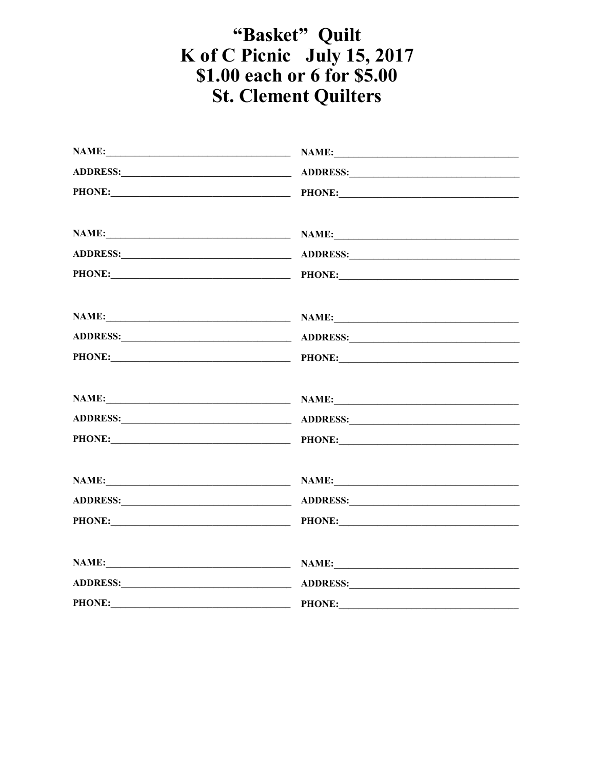## "Basket" Quilt K of C Picnic July 15, 2017<br>\$1.00 each or 6 for \$5.00 **St. Clement Quilters**

| PHONE: PHONE: PHONE:        |  |
|-----------------------------|--|
| NAME: NAME: NAME:           |  |
|                             |  |
| PHONE: PHONE: PHONE:        |  |
| NAME: NAME: NAME:           |  |
|                             |  |
| PHONE: PHONE: PHONE:        |  |
|                             |  |
|                             |  |
| PHONE: PHONE: PHONE:        |  |
| NAME: NAME: NAME:           |  |
| ADDRESS: ADDRESS:           |  |
| PHONE: PHONE: PHONE:        |  |
| NAME: NAME: NAME:           |  |
|                             |  |
| PHONE: PHONE: PHONE: PHONE: |  |